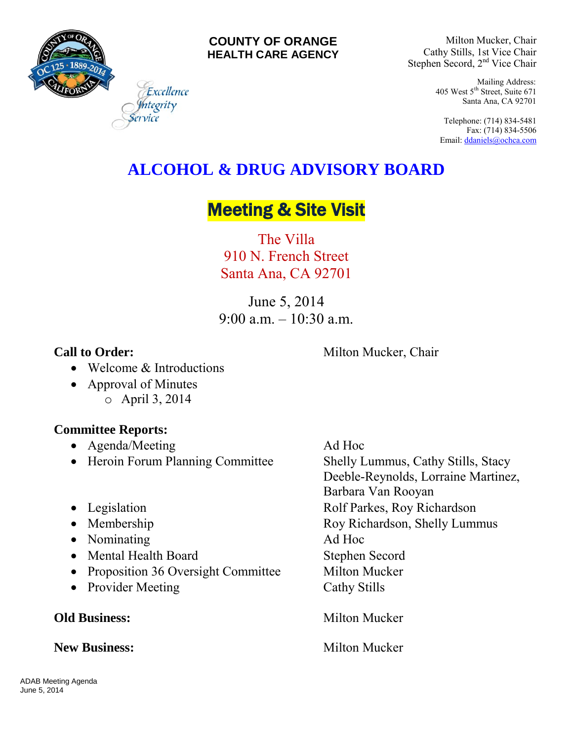

### **COUNTY OF ORANGE HEALTH CARE AGENCY**

Milton Mucker, Chair Cathy Stills, 1st Vice Chair Stephen Secord, 2<sup>nd</sup> Vice Chair

> Mailing Address: 405 West 5th Street, Suite 671 Santa Ana, CA 92701

Telephone: (714) 834-5481 Fax: (714) 834-5506 Email[: ddaniels@ochca.com](mailto:ddaniels@ochca.com)

# **ALCOHOL & DRUG ADVISORY BOARD**

# **Meeting & Site Visit**

The Villa 910 N. French Street Santa Ana, CA 92701

June 5, 2014  $9.00 a m - 10.30 a m$ 

**Call to Order:** Milton Mucker, Chair

- Welcome & Introductions
- Approval of Minutes o April 3, 2014

# **Committee Reports:**

- Agenda/Meeting Ad Hoc
- Heroin Forum Planning Committee Shelly Lummus, Cathy Stills, Stacy
- 
- 
- Nominating Ad Hoc
- Mental Health Board Stephen Secord
- Proposition 36 Oversight Committee Milton Mucker
- Provider Meeting Cathy Stills

# **New Business:** Milton Mucker

Deeble-Reynolds, Lorraine Martinez, Barbara Van Rooyan • Legislation Rolf Parkes, Roy Richardson • Membership Roy Richardson, Shelly Lummus **Old Business:** Milton Mucker